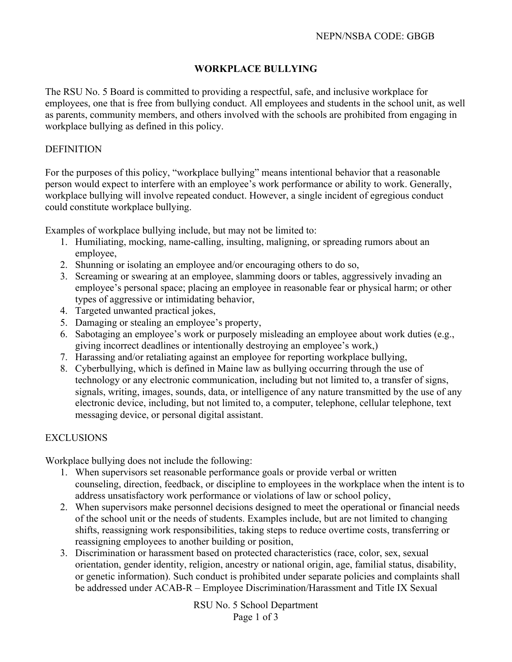# **WORKPLACE BULLYING**

The RSU No. 5 Board is committed to providing a respectful, safe, and inclusive workplace for employees, one that is free from bullying conduct. All employees and students in the school unit, as well as parents, community members, and others involved with the schools are prohibited from engaging in workplace bullying as defined in this policy.

### DEFINITION

For the purposes of this policy, "workplace bullying" means intentional behavior that a reasonable person would expect to interfere with an employee's work performance or ability to work. Generally, workplace bullying will involve repeated conduct. However, a single incident of egregious conduct could constitute workplace bullying.

Examples of workplace bullying include, but may not be limited to:

- 1. Humiliating, mocking, name-calling, insulting, maligning, or spreading rumors about an employee,
- 2. Shunning or isolating an employee and/or encouraging others to do so,
- 3. Screaming or swearing at an employee, slamming doors or tables, aggressively invading an employee's personal space; placing an employee in reasonable fear or physical harm; or other types of aggressive or intimidating behavior,
- 4. Targeted unwanted practical jokes,
- 5. Damaging or stealing an employee's property,
- 6. Sabotaging an employee's work or purposely misleading an employee about work duties (e.g., giving incorrect deadlines or intentionally destroying an employee's work,)
- 7. Harassing and/or retaliating against an employee for reporting workplace bullying,
- 8. Cyberbullying, which is defined in Maine law as bullying occurring through the use of technology or any electronic communication, including but not limited to, a transfer of signs, signals, writing, images, sounds, data, or intelligence of any nature transmitted by the use of any electronic device, including, but not limited to, a computer, telephone, cellular telephone, text messaging device, or personal digital assistant.

#### EXCLUSIONS

Workplace bullying does not include the following:

- 1. When supervisors set reasonable performance goals or provide verbal or written counseling, direction, feedback, or discipline to employees in the workplace when the intent is to address unsatisfactory work performance or violations of law or school policy,
- 2. When supervisors make personnel decisions designed to meet the operational or financial needs of the school unit or the needs of students. Examples include, but are not limited to changing shifts, reassigning work responsibilities, taking steps to reduce overtime costs, transferring or reassigning employees to another building or position,
- 3. Discrimination or harassment based on protected characteristics (race, color, sex, sexual orientation, gender identity, religion, ancestry or national origin, age, familial status, disability, or genetic information). Such conduct is prohibited under separate policies and complaints shall be addressed under ACAB-R – Employee Discrimination/Harassment and Title IX Sexual

RSU No. 5 School Department Page 1 of 3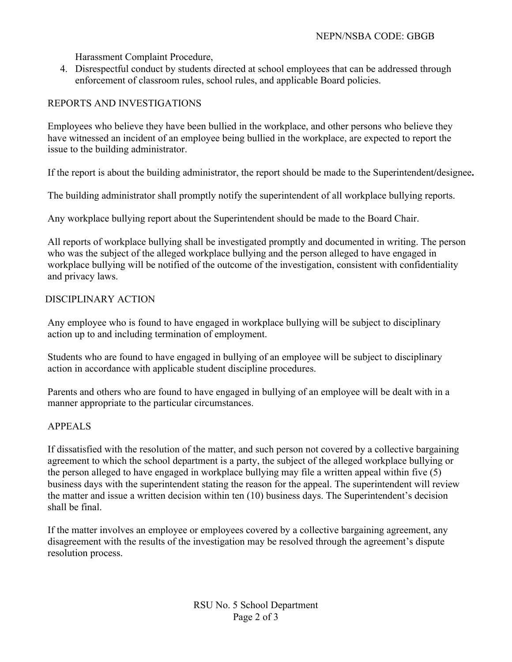Harassment Complaint Procedure,

4. Disrespectful conduct by students directed at school employees that can be addressed through enforcement of classroom rules, school rules, and applicable Board policies.

# REPORTS AND INVESTIGATIONS

Employees who believe they have been bullied in the workplace, and other persons who believe they have witnessed an incident of an employee being bullied in the workplace, are expected to report the issue to the building administrator.

If the report is about the building administrator, the report should be made to the Superintendent**/**designee**.**

The building administrator shall promptly notify the superintendent of all workplace bullying reports.

Any workplace bullying report about the Superintendent should be made to the Board Chair.

All reports of workplace bullying shall be investigated promptly and documented in writing. The person who was the subject of the alleged workplace bullying and the person alleged to have engaged in workplace bullying will be notified of the outcome of the investigation, consistent with confidentiality and privacy laws.

## DISCIPLINARY ACTION

Any employee who is found to have engaged in workplace bullying will be subject to disciplinary action up to and including termination of employment.

Students who are found to have engaged in bullying of an employee will be subject to disciplinary action in accordance with applicable student discipline procedures.

Parents and others who are found to have engaged in bullying of an employee will be dealt with in a manner appropriate to the particular circumstances.

## APPEALS

If dissatisfied with the resolution of the matter, and such person not covered by a collective bargaining agreement to which the school department is a party, the subject of the alleged workplace bullying or the person alleged to have engaged in workplace bullying may file a written appeal within five (5) business days with the superintendent stating the reason for the appeal. The superintendent will review the matter and issue a written decision within ten (10) business days. The Superintendent's decision shall be final.

If the matter involves an employee or employees covered by a collective bargaining agreement, any disagreement with the results of the investigation may be resolved through the agreement's dispute resolution process.

> RSU No. 5 School Department Page 2 of 3